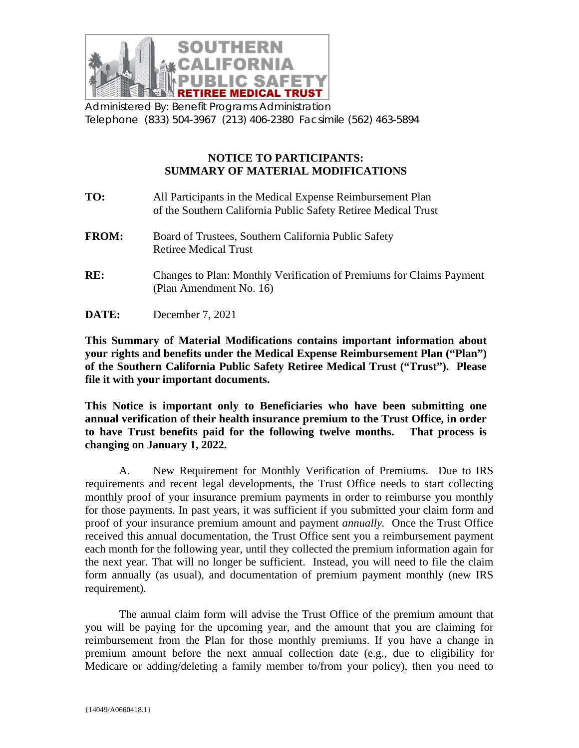

Administered By: Benefit Programs Administration Telephone (833) 504-3967 (213) 406-2380 Facsimile (562) 463-5894

## **NOTICE TO PARTICIPANTS: SUMMARY OF MATERIAL MODIFICATIONS**

| TO:          | All Participants in the Medical Expense Reimbursement Plan<br>of the Southern California Public Safety Retiree Medical Trust |
|--------------|------------------------------------------------------------------------------------------------------------------------------|
| <b>FROM:</b> | Board of Trustees, Southern California Public Safety<br><b>Retiree Medical Trust</b>                                         |
| RE:          | Changes to Plan: Monthly Verification of Premiums for Claims Payment<br>(Plan Amendment No. 16)                              |
| <b>DATE:</b> | December 7, 2021                                                                                                             |

**This Summary of Material Modifications contains important information about your rights and benefits under the Medical Expense Reimbursement Plan ("Plan") of the Southern California Public Safety Retiree Medical Trust ("Trust"). Please file it with your important documents.**

**This Notice is important only to Beneficiaries who have been submitting one annual verification of their health insurance premium to the Trust Office, in order to have Trust benefits paid for the following twelve months. That process is changing on January 1, 2022.**

A. New Requirement for Monthly Verification of Premiums. Due to IRS requirements and recent legal developments, the Trust Office needs to start collecting monthly proof of your insurance premium payments in order to reimburse you monthly for those payments. In past years, it was sufficient if you submitted your claim form and proof of your insurance premium amount and payment *annually.* Once the Trust Office received this annual documentation, the Trust Office sent you a reimbursement payment each month for the following year, until they collected the premium information again for the next year. That will no longer be sufficient. Instead, you will need to file the claim form annually (as usual), and documentation of premium payment monthly (new IRS requirement).

The annual claim form will advise the Trust Office of the premium amount that you will be paying for the upcoming year, and the amount that you are claiming for reimbursement from the Plan for those monthly premiums. If you have a change in premium amount before the next annual collection date (e.g., due to eligibility for Medicare or adding/deleting a family member to/from your policy), then you need to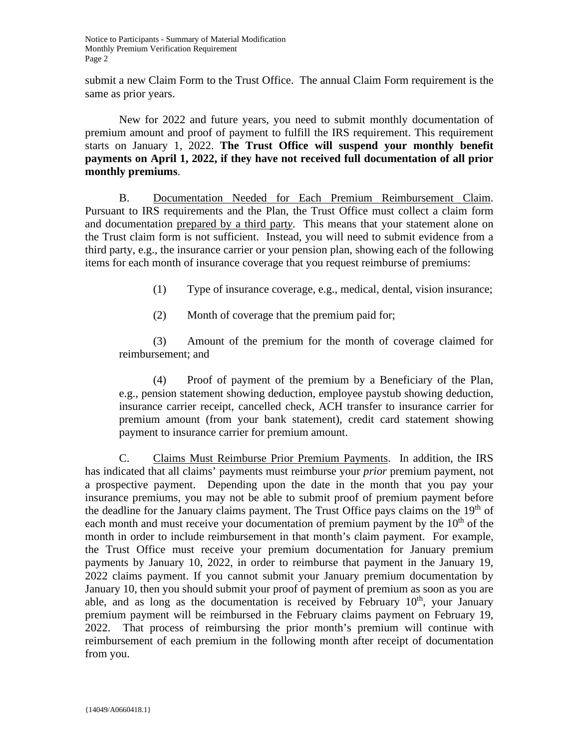submit a new Claim Form to the Trust Office. The annual Claim Form requirement is the same as prior years.

New for 2022 and future years, you need to submit monthly documentation of premium amount and proof of payment to fulfill the IRS requirement. This requirement starts on January 1, 2022. **The Trust Office will suspend your monthly benefit payments on April 1, 2022, if they have not received full documentation of all prior monthly premiums**.

B. Documentation Needed for Each Premium Reimbursement Claim. Pursuant to IRS requirements and the Plan, the Trust Office must collect a claim form and documentation prepared by a third part*y*. This means that your statement alone on the Trust claim form is not sufficient. Instead, you will need to submit evidence from a third party, e.g., the insurance carrier or your pension plan, showing each of the following items for each month of insurance coverage that you request reimburse of premiums:

(1) Type of insurance coverage, e.g., medical, dental, vision insurance;

(2) Month of coverage that the premium paid for;

(3) Amount of the premium for the month of coverage claimed for reimbursement; and

(4) Proof of payment of the premium by a Beneficiary of the Plan, e.g., pension statement showing deduction, employee paystub showing deduction, insurance carrier receipt, cancelled check, ACH transfer to insurance carrier for premium amount (from your bank statement), credit card statement showing payment to insurance carrier for premium amount.

C. Claims Must Reimburse Prior Premium Payments. In addition, the IRS has indicated that all claims' payments must reimburse your *prior* premium payment, not a prospective payment. Depending upon the date in the month that you pay your insurance premiums, you may not be able to submit proof of premium payment before the deadline for the January claims payment. The Trust Office pays claims on the  $19<sup>th</sup>$  of each month and must receive your documentation of premium payment by the  $10<sup>th</sup>$  of the month in order to include reimbursement in that month's claim payment. For example, the Trust Office must receive your premium documentation for January premium payments by January 10, 2022, in order to reimburse that payment in the January 19, 2022 claims payment. If you cannot submit your January premium documentation by January 10, then you should submit your proof of payment of premium as soon as you are able, and as long as the documentation is received by February  $10<sup>th</sup>$ , your January premium payment will be reimbursed in the February claims payment on February 19, 2022. That process of reimbursing the prior month's premium will continue with reimbursement of each premium in the following month after receipt of documentation from you.